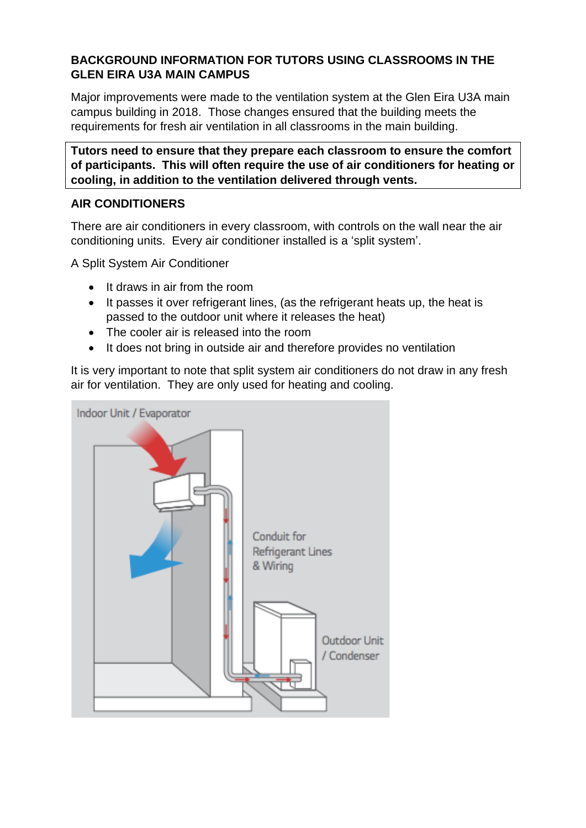# **BACKGROUND INFORMATION FOR TUTORS USING CLASSROOMS IN THE GLEN EIRA U3A MAIN CAMPUS**

Major improvements were made to the ventilation system at the Glen Eira U3A main campus building in 2018. Those changes ensured that the building meets the requirements for fresh air ventilation in all classrooms in the main building.

**Tutors need to ensure that they prepare each classroom to ensure the comfort of participants. This will often require the use of air conditioners for heating or cooling, in addition to the ventilation delivered through vents.**

# **AIR CONDITIONERS**

There are air conditioners in every classroom, with controls on the wall near the air conditioning units. Every air conditioner installed is a 'split system'.

A Split System Air Conditioner

- It draws in air from the room
- It passes it over refrigerant lines, (as the refrigerant heats up, the heat is passed to the outdoor unit where it releases the heat)
- The cooler air is released into the room
- It does not bring in outside air and therefore provides no ventilation

It is very important to note that split system air conditioners do not draw in any fresh air for ventilation. They are only used for heating and cooling.